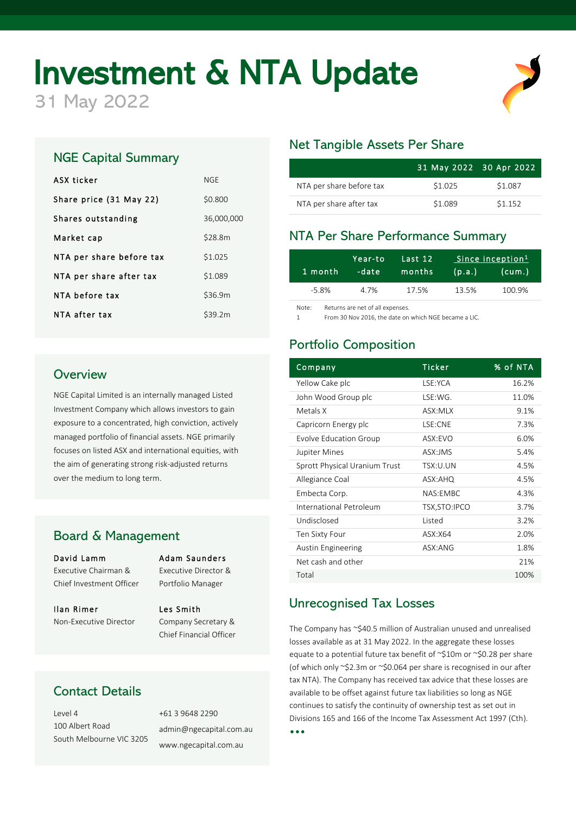# **Investment & NTA Update**

NGE Capital Summary

ASX ticker NGE

Share price (31 May 22) \$0.800

Market cap \$28.8m

NTA per share before tax \$1.025 NTA per share after tax \$1.089 NTA before tax \$36.9m NTA after tax \$39.2m

Shares outstanding 36,000,000

# Net Tangible Assets Per Share

|                          | 31 May 2022 30 Apr 2022 |         |
|--------------------------|-------------------------|---------|
| NTA per share before tax | \$1.025                 | \$1.087 |
| NTA per share after tax  | \$1.089                 | \$1.152 |

## NTA Per Share Performance Summary

| 1 month | Year-to<br>-date | Last 12<br>months | (p.a.) | Since inception <sup>1</sup><br>(cum.) |
|---------|------------------|-------------------|--------|----------------------------------------|
| -5.8%   | 4.7%             | 17.5%             | 13.5%  | 100.9%                                 |

Note: Returns are net of all expenses.

1 From 30 Nov 2016, the date on which NGE became a LIC.

## Portfolio Composition

| Company                       | <b>Ticker</b>            | % of NTA |
|-------------------------------|--------------------------|----------|
| Yellow Cake plc               | LSE:YCA                  | 16.2%    |
| John Wood Group plc           | LSE:WG.                  | 11.0%    |
| Metals X                      | ASX:MLX                  | 9.1%     |
| Capricorn Energy plc          | LSE:CNE                  | 7.3%     |
| Evolve Education Group        | ASX:EVO                  | 6.0%     |
| Jupiter Mines                 | ASX:JMS                  | 5.4%     |
| Sprott Physical Uranium Trust | TSX:U.UN                 | 4.5%     |
| Allegiance Coal               | ASX:AHQ                  | 4.5%     |
| Embecta Corp.                 | NAS:EMBC                 | 4.3%     |
| International Petroleum       | TSX, STO: IPCO           | 3.7%     |
| Undisclosed                   | Listed                   | 3.2%     |
| Ten Sixty Four                | $\text{ASX}: \text{X64}$ | 2.0%     |
| <b>Austin Engineering</b>     | ASX: ANG                 | 1.8%     |
| Net cash and other            |                          | 21%      |
| Total                         |                          | 100%     |

#### Unrecognised Tax Losses

The Company has ~\$40.5 million of Australian unused and unrealised losses available as at 31 May 2022. In the aggregate these losses equate to a potential future tax benefit of ~\$10m or ~\$0.28 per share (of which only ~\$2.3m or ~\$0.064 per share is recognised in our after tax NTA). The Company has received tax advice that these losses are available to be offset against future tax liabilities so long as NGE continues to satisfy the continuity of ownership test as set out in Divisions 165 and 166 of the Income Tax Assessment Act 1997 (Cth).

•••

# **Overview**

NGE Capital Limited is an internally managed Listed Investment Company which allows investors to gain exposure to a concentrated, high conviction, actively managed portfolio of financial assets. NGE primarily focuses on listed ASX and international equities, with the aim of generating strong risk-adjusted returns over the medium to long term.

# Board & Management

### David Lamm Adam Saunders Executive Chairman & Executive Director &

Ilan Rimer Les Smith Non-Executive Director Company Secretary &

Chief Investment Officer Portfolio Manager

Chief Financial Officer

# Contact Details

Level 4 +61 3 9648 2290 100 Albert Road South Melbourne VIC 3205

admin@ngecapital.com.au www.ngecapital.com.au